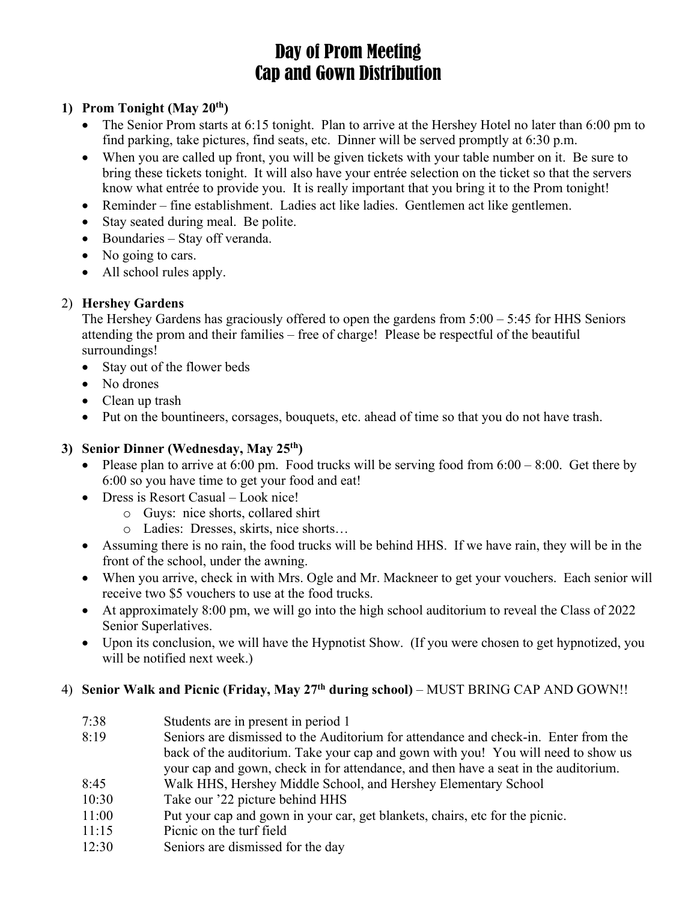# Day of Prom Meeting Cap and Gown Distribution

# **1) Prom Tonight (May 20th)**

- The Senior Prom starts at 6:15 tonight. Plan to arrive at the Hershey Hotel no later than 6:00 pm to find parking, take pictures, find seats, etc. Dinner will be served promptly at 6:30 p.m.
- When you are called up front, you will be given tickets with your table number on it. Be sure to bring these tickets tonight. It will also have your entrée selection on the ticket so that the servers know what entrée to provide you. It is really important that you bring it to the Prom tonight!
- Reminder fine establishment. Ladies act like ladies. Gentlemen act like gentlemen.
- Stay seated during meal. Be polite.
- Boundaries Stay off veranda.
- No going to cars.
- All school rules apply.

# 2) **Hershey Gardens**

The Hershey Gardens has graciously offered to open the gardens from 5:00 – 5:45 for HHS Seniors attending the prom and their families – free of charge! Please be respectful of the beautiful surroundings!

- Stay out of the flower beds
- No drones
- Clean up trash
- Put on the bountineers, corsages, bouquets, etc. ahead of time so that you do not have trash.

# **3) Senior Dinner (Wednesday, May 25th)**

- Please plan to arrive at 6:00 pm. Food trucks will be serving food from  $6:00 8:00$ . Get there by 6:00 so you have time to get your food and eat!
- Dress is Resort Casual Look nice!
	- o Guys: nice shorts, collared shirt
	- o Ladies: Dresses, skirts, nice shorts…
- Assuming there is no rain, the food trucks will be behind HHS. If we have rain, they will be in the front of the school, under the awning.
- When you arrive, check in with Mrs. Ogle and Mr. Mackneer to get your vouchers. Each senior will receive two \$5 vouchers to use at the food trucks.
- At approximately 8:00 pm, we will go into the high school auditorium to reveal the Class of 2022 Senior Superlatives.
- Upon its conclusion, we will have the Hypnotist Show. (If you were chosen to get hypnotized, you will be notified next week.)

# 4) **Senior Walk and Picnic (Friday, May 27th during school)** – MUST BRING CAP AND GOWN!!

- 7:38 Students are in present in period 1 8:19 Seniors are dismissed to the Auditorium for attendance and check-in. Enter from the back of the auditorium. Take your cap and gown with you! You will need to show us your cap and gown, check in for attendance, and then have a seat in the auditorium.
- 8:45 Walk HHS, Hershey Middle School, and Hershey Elementary School
- 10:30 Take our '22 picture behind HHS
- 11:00 Put your cap and gown in your car, get blankets, chairs, etc for the picnic.
- 11:15 Picnic on the turf field
- 12:30 Seniors are dismissed for the day